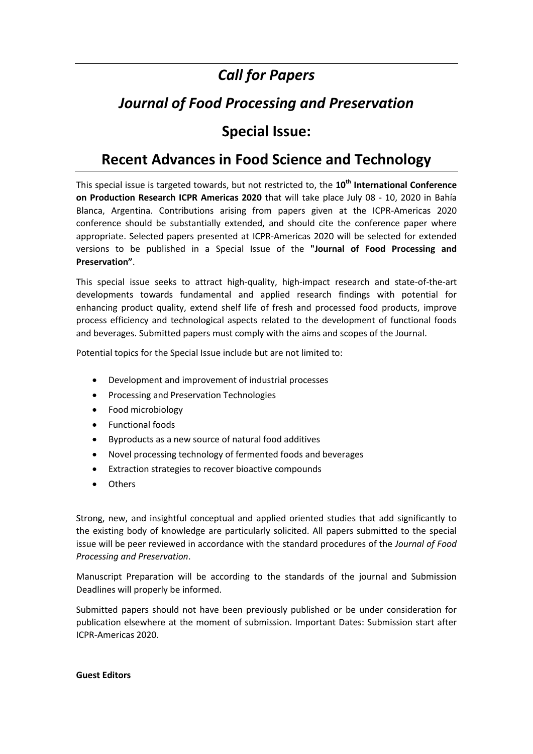# *Call for Papers*

# *Journal of Food Processing and Preservation*

### **Special Issue:**

## **Recent Advances in Food Science and Technology**

This special issue is targeted towards, but not restricted to, the **10th International Conference on Production Research ICPR Americas 2020** that will take place July 08 - 10, 2020 in Bahía Blanca, Argentina. Contributions arising from papers given at the ICPR-Americas 2020 conference should be substantially extended, and should cite the conference paper where appropriate. Selected papers presented at ICPR-Americas 2020 will be selected for extended versions to be published in a Special Issue of the **"Journal of Food Processing and Preservation"**.

This special issue seeks to attract high-quality, high-impact research and state-of-the-art developments towards fundamental and applied research findings with potential for enhancing product quality, extend shelf life of fresh and processed food products, improve process efficiency and technological aspects related to the development of functional foods and beverages. Submitted papers must comply with the aims and scopes of the Journal.

Potential topics for the Special Issue include but are not limited to:

- Development and improvement of industrial processes
- **•** Processing and Preservation Technologies
- Food microbiology
- Functional foods
- Byproducts as a new source of natural food additives
- Novel processing technology of fermented foods and beverages
- Extraction strategies to recover bioactive compounds
- **Others**

Strong, new, and insightful conceptual and applied oriented studies that add significantly to the existing body of knowledge are particularly solicited. All papers submitted to the special issue will be peer reviewed in accordance with the standard procedures of the *Journal of Food Processing and Preservation*.

Manuscript Preparation will be according to the standards of the journal and Submission Deadlines will properly be informed.

Submitted papers should not have been previously published or be under consideration for publication elsewhere at the moment of submission. Important Dates: Submission start after ICPR-Americas 2020.

#### **Guest Editors**